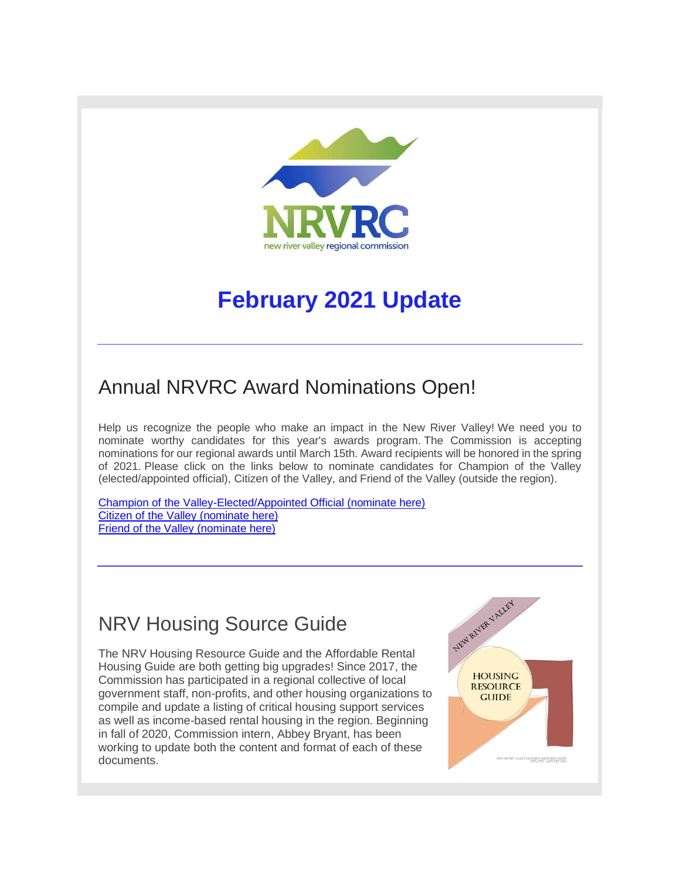

# **February 2021 Update**

# Annual NRVRC Award Nominations Open!

Help us recognize the people who make an impact in the New River Valley! We need you to nominate worthy candidates for this year's awards program. The Commission is accepting nominations for our regional awards until March 15th. Award recipients will be honored in the spring of 2021. Please click on the links below to nominate candidates for Champion of the Valley (elected/appointed official), Citizen of the Valley, and Friend of the Valley (outside the region).

[Champion of the Valley-Elected/Appointed Official \(nominate here\)](http://r20.rs6.net/tn.jsp?f=001RRml6Ip48oSZ7Xyi3eXpEwiVIQAhOcXaAHq1Hp0UaAaVqmq27zkyEjKOf0pKicmesfanRdkMcpBbl2W0v5XbDydpY7viXP7RdlSf59Wi-NRSZWn0lTurs-GE7VZLSodUMunbRCeBV40dTMxiaiSGt3YkOr6rofAoy32f8dhqBl-NdKptDHIzunW9GXL_0snkrwGgqUguUy0=&c=kuOO3OH0LUkIfjhGfGeMhmUhmGd5rTIbdvPSTxzBzzArUMXUfY1Jpg==&ch=pHTr1dHFWaX7DE2YsIMVHsj8uV1LCUX5K7y5fjw59ctT6FNORqXQ0w==) [Citizen of the Valley \(nominate here\)](http://r20.rs6.net/tn.jsp?f=001RRml6Ip48oSZ7Xyi3eXpEwiVIQAhOcXaAHq1Hp0UaAaVqmq27zkyEjKOf0pKicmey7_E3W7TbpNphnoIaS2FMz494-jE_qvjYaFbSwG5dr1Pn44QNLaGeYVNjei9dCHbSTLtyiP3MY0zhrXnuXHeEXNb_cA0Y-hZAclr7e2aSgTP7O6fnvV68wEzMSbha95x&c=kuOO3OH0LUkIfjhGfGeMhmUhmGd5rTIbdvPSTxzBzzArUMXUfY1Jpg==&ch=pHTr1dHFWaX7DE2YsIMVHsj8uV1LCUX5K7y5fjw59ctT6FNORqXQ0w==) [Friend of the Valley \(nominate here\)](http://r20.rs6.net/tn.jsp?f=001RRml6Ip48oSZ7Xyi3eXpEwiVIQAhOcXaAHq1Hp0UaAaVqmq27zkyEjKOf0pKicmeIWIKnVk-a5mF2KhoLFN5PAaGWo0EC6xKzf1GvA97fyVdWLffleI34RJOL88G6fKOP4el545286rM7wOEAMjb9_bquTlHkzfqnzpOMj2hkyL06z2oiAbKojjN7D_9yBqV&c=kuOO3OH0LUkIfjhGfGeMhmUhmGd5rTIbdvPSTxzBzzArUMXUfY1Jpg==&ch=pHTr1dHFWaX7DE2YsIMVHsj8uV1LCUX5K7y5fjw59ctT6FNORqXQ0w==)

# NRV Housing Source Guide

The NRV Housing Resource Guide and the Affordable Rental Housing Guide are both getting big upgrades! Since 2017, the Commission has participated in a regional collective of local government staff, non-profits, and other housing organizations to compile and update a listing of critical housing support services as well as income-based rental housing in the region. Beginning in fall of 2020, Commission intern, Abbey Bryant, has been working to update both the content and format of each of these documents.

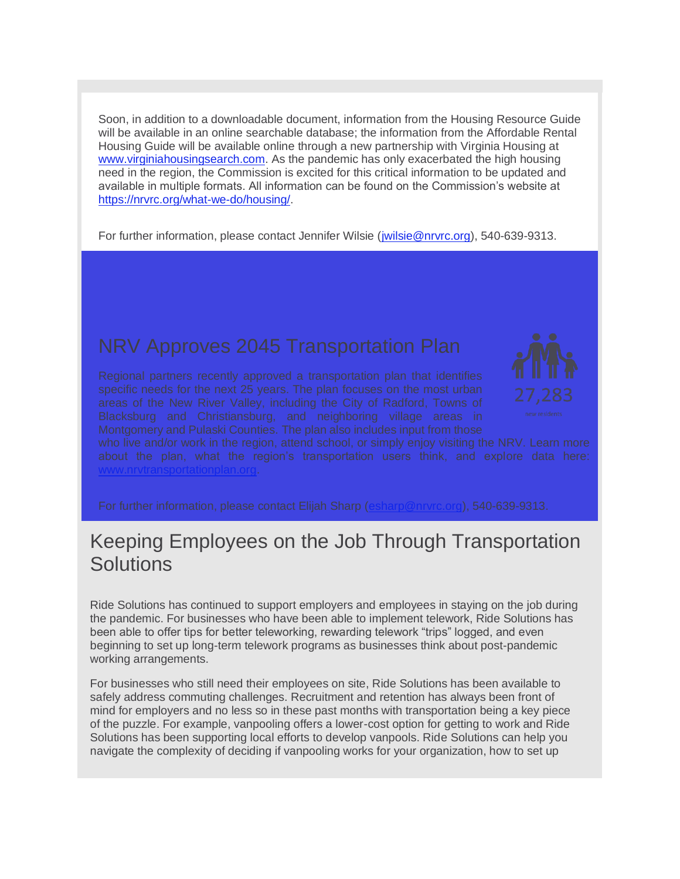Soon, in addition to a downloadable document, information from the Housing Resource Guide will be available in an online searchable database; the information from the Affordable Rental Housing Guide will be available online through a new partnership with Virginia Housing at [www.virginiahousingsearch.com.](http://r20.rs6.net/tn.jsp?f=001RRml6Ip48oSZ7Xyi3eXpEwiVIQAhOcXaAHq1Hp0UaAaVqmq27zkyEjGEGVpfRQltxpTkTZAKjZjMMPItqq5M6763vjwJEWiG0MjbFArHavqLmgCH19RoobZ-3vH_unMTNCSriexpgiHOYH8RdR_kFbVGU4UUgE0d&c=kuOO3OH0LUkIfjhGfGeMhmUhmGd5rTIbdvPSTxzBzzArUMXUfY1Jpg==&ch=pHTr1dHFWaX7DE2YsIMVHsj8uV1LCUX5K7y5fjw59ctT6FNORqXQ0w==) As the pandemic has only exacerbated the high housing need in the region, the Commission is excited for this critical information to be updated and available in multiple formats. All information can be found on the Commission's website at [https://nrvrc.org/what-we-do/housing/.](http://r20.rs6.net/tn.jsp?f=001RRml6Ip48oSZ7Xyi3eXpEwiVIQAhOcXaAHq1Hp0UaAaVqmq27zkyEjGEGVpfRQlty1ux0NKKfmp8RGEzot9_C8q_nN8eevM1-rGGPYPk4jJ-hnCa36-wQgXAUwcWx_dNtsR0LWg5U5vuRzzvLNEtbyRGOStS7EUEpwGEH3JpHZk=&c=kuOO3OH0LUkIfjhGfGeMhmUhmGd5rTIbdvPSTxzBzzArUMXUfY1Jpg==&ch=pHTr1dHFWaX7DE2YsIMVHsj8uV1LCUX5K7y5fjw59ctT6FNORqXQ0w==)

For further information, please contact Jennifer Wilsie [\(jwilsie@nrvrc.org\)](mailto:jwilsie@nrvrc.org), 540-639-9313.

#### NRV Approves 2045 Transportation Plan



[www.nrvtransportationplan.org.](http://r20.rs6.net/tn.jsp?f=001RRml6Ip48oSZ7Xyi3eXpEwiVIQAhOcXaAHq1Hp0UaAaVqmq27zkyEvt-A6F5vz29Ge2HhSE-4YjhfyguW9j5g6VvL_-8CH9w0ea34mdhPybpnamAFT_1DJ-MbwP8RhJzH7Ul5XcgkqRCmtVezBsFFA8IY9cqxdnP&c=kuOO3OH0LUkIfjhGfGeMhmUhmGd5rTIbdvPSTxzBzzArUMXUfY1Jpg==&ch=pHTr1dHFWaX7DE2YsIMVHsj8uV1LCUX5K7y5fjw59ctT6FNORqXQ0w==)

## Keeping Employees on the Job Through Transportation **Solutions**

Ride Solutions has continued to support employers and employees in staying on the job during the pandemic. For businesses who have been able to implement telework, Ride Solutions has been able to offer tips for better teleworking, rewarding telework "trips" logged, and even beginning to set up long-term telework programs as businesses think about post-pandemic working arrangements.

For businesses who still need their employees on site, Ride Solutions has been available to safely address commuting challenges. Recruitment and retention has always been front of mind for employers and no less so in these past months with transportation being a key piece of the puzzle. For example, vanpooling offers a lower-cost option for getting to work and Ride Solutions has been supporting local efforts to develop vanpools. Ride Solutions can help you navigate the complexity of deciding if vanpooling works for your organization, how to set up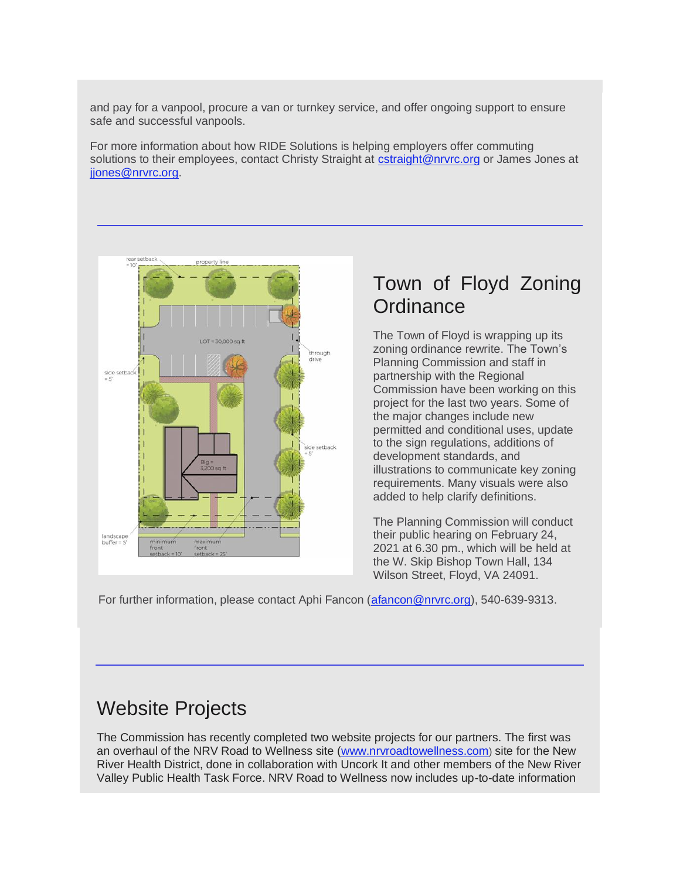and pay for a vanpool, procure a van or turnkey service, and offer ongoing support to ensure safe and successful vanpools.

For more information about how RIDE Solutions is helping employers offer commuting solutions to their employees, contact Christy Straight at [cstraight@nrvrc.org](mailto:cstraight@nrvrc.org) or James Jones at ijones@nrvrc.org.



## Town of Floyd Zoning **Ordinance**

The Town of Floyd is wrapping up its zoning ordinance rewrite. The Town's Planning Commission and staff in partnership with the Regional Commission have been working on this project for the last two years. Some of the major changes include new permitted and conditional uses, update to the sign regulations, additions of development standards, and illustrations to communicate key zoning requirements. Many visuals were also added to help clarify definitions.

The Planning Commission will conduct their public hearing on February 24, 2021 at 6.30 pm., which will be held at the W. Skip Bishop Town Hall, 134 Wilson Street, Floyd, VA 24091.

For further information, please contact Aphi Fancon [\(afancon@nrvrc.org\)](mailto:afancon@nrvrc.org), 540-639-9313.

## Website Projects

The Commission has recently completed two website projects for our partners. The first was an overhaul of the NRV Road to Wellness site [\(www.nrvroadtowellness.com](http://r20.rs6.net/tn.jsp?f=001RRml6Ip48oSZ7Xyi3eXpEwiVIQAhOcXaAHq1Hp0UaAaVqmq27zkyErgb2QBMoDVymUd8WTcmY6ghU8f75LgaGQTl5Pn6RTh3-4xoDD4RL1LIipywvH7TdJG3r9XjPGEKoZP2GIUnfaRjCua1uz-QEqtMX02Qn77r&c=kuOO3OH0LUkIfjhGfGeMhmUhmGd5rTIbdvPSTxzBzzArUMXUfY1Jpg==&ch=pHTr1dHFWaX7DE2YsIMVHsj8uV1LCUX5K7y5fjw59ctT6FNORqXQ0w==)) site for the New River Health District, done in collaboration with Uncork It and other members of the New River Valley Public Health Task Force. NRV Road to Wellness now includes up-to-date information